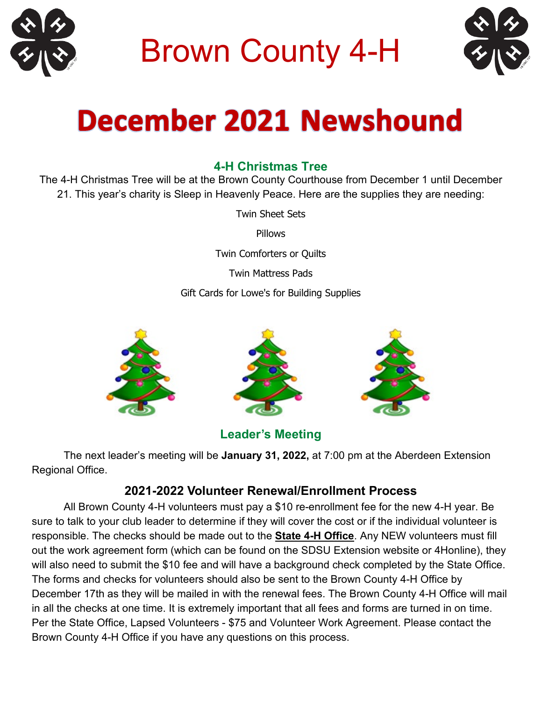

Brown County 4-H



# **December 2021 Newshound**

#### **4-H Christmas Tree**

The 4-H Christmas Tree will be at the Brown County Courthouse from December 1 until December 21. This year's charity is Sleep in Heavenly Peace. Here are the supplies they are needing:

Twin Sheet Sets

Pillows

Twin Comforters or Quilts

Twin Mattress Pads

Gift Cards for Lowe's for Building Supplies



#### **Leader's Meeting**

The next leader's meeting will be **January 31, 2022,** at 7:00 pm at the Aberdeen Extension Regional Office.

#### **2021-2022 Volunteer Renewal/Enrollment Process**

All Brown County 4-H volunteers must pay a \$10 re-enrollment fee for the new 4-H year. Be sure to talk to your club leader to determine if they will cover the cost or if the individual volunteer is responsible. The checks should be made out to the **State 4-H Office**. Any NEW volunteers must fill out the work agreement form (which can be found on the SDSU Extension website or 4Honline), they will also need to submit the \$10 fee and will have a background check completed by the State Office. The forms and checks for volunteers should also be sent to the Brown County 4-H Office by December 17th as they will be mailed in with the renewal fees. The Brown County 4-H Office will mail in all the checks at one time. It is extremely important that all fees and forms are turned in on time. Per the State Office, Lapsed Volunteers - \$75 and Volunteer Work Agreement. Please contact the Brown County 4-H Office if you have any questions on this process.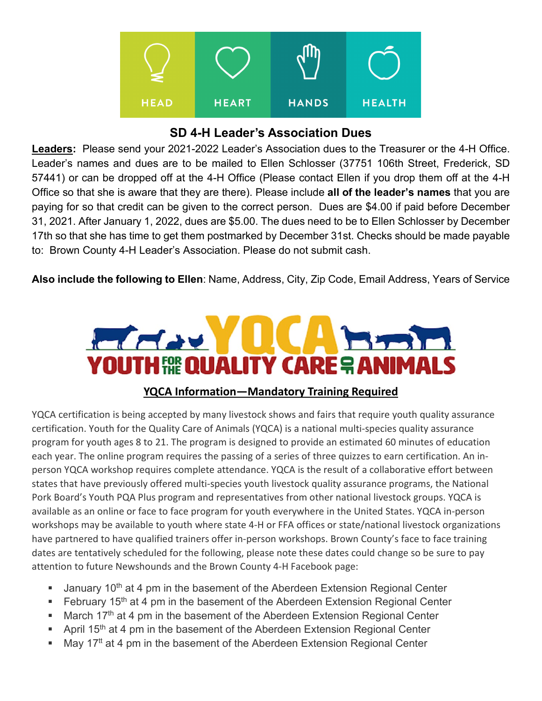

#### **SD 4-H Leader's Association Dues**

**Leaders:** Please send your 2021-2022 Leader's Association dues to the Treasurer or the 4-H Office. Leader's names and dues are to be mailed to Ellen Schlosser (37751 106th Street, Frederick, SD 57441) or can be dropped off at the 4-H Office (Please contact Ellen if you drop them off at the 4-H Office so that she is aware that they are there). Please include **all of the leader's names** that you are paying for so that credit can be given to the correct person. Dues are \$4.00 if paid before December 31, 2021. After January 1, 2022, dues are \$5.00. The dues need to be to Ellen Schlosser by December 17th so that she has time to get them postmarked by December 31st. Checks should be made payable to: Brown County 4-H Leader's Association. Please do not submit cash.

**Also include the following to Ellen**: Name, Address, City, Zip Code, Email Address, Years of Service



#### **YQCA Information—Mandatory Training Required**

YQCA certification is being accepted by many livestock shows and fairs that require youth quality assurance certification. Youth for the Quality Care of Animals (YQCA) is a national multi-species quality assurance program for youth ages 8 to 21. The program is designed to provide an estimated 60 minutes of education each year. The online program requires the passing of a series of three quizzes to earn certification. An inperson YQCA workshop requires complete attendance. YQCA is the result of a collaborative effort between states that have previously offered multi-species youth livestock quality assurance programs, the National Pork Board's Youth PQA Plus program and representatives from other national livestock groups. YQCA is available as an online or face to face program for youth everywhere in the United States. YQCA in-person workshops may be available to youth where state 4-H or FFA offices or state/national livestock organizations have partnered to have qualified trainers offer in-person workshops. Brown County's face to face training dates are tentatively scheduled for the following, please note these dates could change so be sure to pay attention to future Newshounds and the Brown County 4-H Facebook page:

- **January 10<sup>th</sup> at 4 pm in the basement of the Aberdeen Extension Regional Center**
- February 15<sup>th</sup> at 4 pm in the basement of the Aberdeen Extension Regional Center
- **March 17th at 4 pm in the basement of the Aberdeen Extension Regional Center**
- April 15<sup>th</sup> at 4 pm in the basement of the Aberdeen Extension Regional Center
- $\blacksquare$  May 17<sup>tt</sup> at 4 pm in the basement of the Aberdeen Extension Regional Center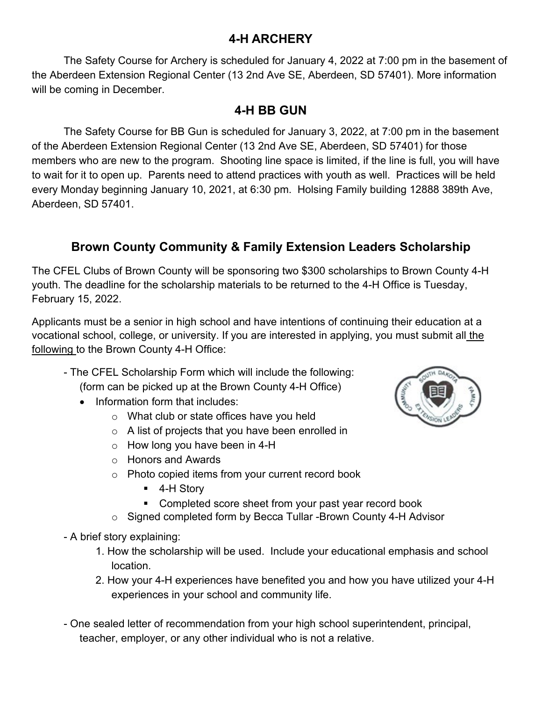#### **4-H ARCHERY**

The Safety Course for Archery is scheduled for January 4, 2022 at 7:00 pm in the basement of the Aberdeen Extension Regional Center (13 2nd Ave SE, Aberdeen, SD 57401). More information will be coming in December.

#### **4-H BB GUN**

The Safety Course for BB Gun is scheduled for January 3, 2022, at 7:00 pm in the basement of the Aberdeen Extension Regional Center (13 2nd Ave SE, Aberdeen, SD 57401) for those members who are new to the program. Shooting line space is limited, if the line is full, you will have to wait for it to open up. Parents need to attend practices with youth as well. Practices will be held every Monday beginning January 10, 2021, at 6:30 pm. Holsing Family building 12888 389th Ave, Aberdeen, SD 57401.

## **Brown County Community & Family Extension Leaders Scholarship**

The CFEL Clubs of Brown County will be sponsoring two \$300 scholarships to Brown County 4-H youth. The deadline for the scholarship materials to be returned to the 4-H Office is Tuesday, February 15, 2022.

Applicants must be a senior in high school and have intentions of continuing their education at a vocational school, college, or university. If you are interested in applying, you must submit all the following to the Brown County 4-H Office:

- The CFEL Scholarship Form which will include the following: (form can be picked up at the Brown County 4-H Office)
	- Information form that includes:
		- o What club or state offices have you held
		- o A list of projects that you have been enrolled in
		- $\circ$  How long you have been in 4-H
		- o Honors and Awards
		- o Photo copied items from your current record book
			- 4-H Story
			- **Completed score sheet from your past year record book**
		- o Signed completed form by Becca Tullar -Brown County 4-H Advisor
- A brief story explaining:
	- 1. How the scholarship will be used. Include your educational emphasis and school location.
	- 2. How your 4-H experiences have benefited you and how you have utilized your 4-H experiences in your school and community life.
- One sealed letter of recommendation from your high school superintendent, principal, teacher, employer, or any other individual who is not a relative.

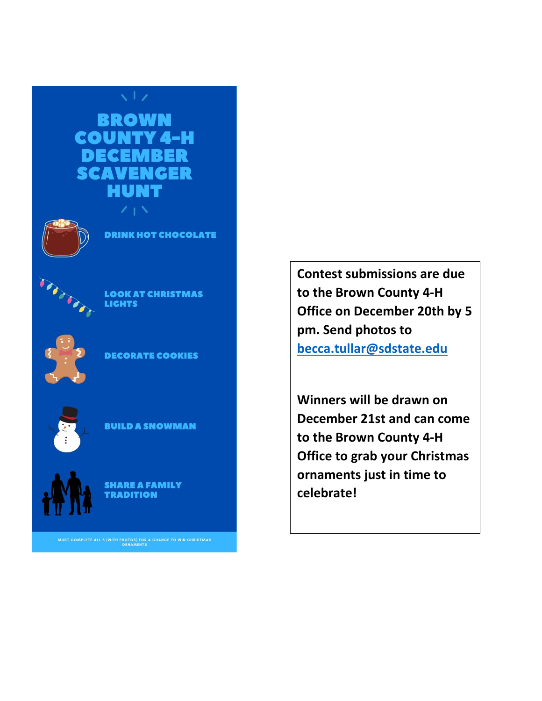



**DRINK HOT CHOCOLATE** 



**LOOK AT CHRISTMAS LIGHTS** 



**DECORATE COOKIES** 



**BUILD A SNOWMAN** 



**SHARE A FAMILY TRADITION** 

MUST COMPLETE ALL 5 (WITH PHOTOS) FOR A CHANCE TO WIN CHRISTMAS ORNAMENTS

**Contest submissions are due to the Brown County 4-H Office on December 20th by 5 pm. Send photos to [becca.tullar@sdstate.edu](mailto:becca.tullar@sdstate.edu)**

**Winners will be drawn on December 21st and can come to the Brown County 4-H Office to grab your Christmas ornaments just in time to celebrate!**